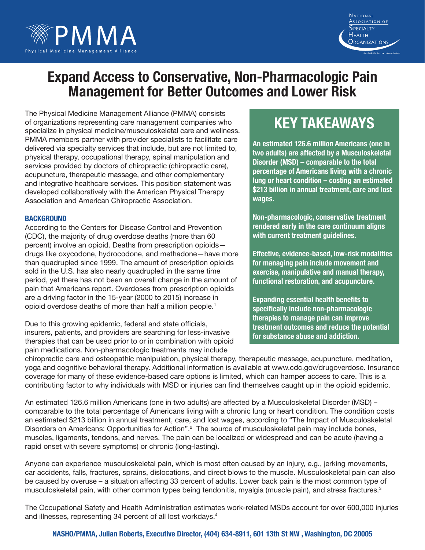

# **Expand Access to Conservative, Non-Pharmacologic Pain Management for Better Outcomes and Lower Risk**

The Physical Medicine Management Alliance (PMMA) consists of organizations representing care management companies who specialize in physical medicine/musculoskeletal care and wellness. PMMA members partner with provider specialists to facilitate care delivered via specialty services that include, but are not limited to, physical therapy, occupational therapy, spinal manipulation and services provided by doctors of chiropractic (chiropractic care), acupuncture, therapeutic massage, and other complementary and integrative healthcare services. This position statement was developed collaboratively with the American Physical Therapy Association and American Chiropractic Association.

#### **Background**

According to the Centers for Disease Control and Prevention (CDC), the majority of drug overdose deaths (more than 60 percent) involve an opioid. Deaths from prescription opioids drugs like oxycodone, hydrocodone, and methadone—have more than quadrupled since 1999. The amount of prescription opioids sold in the U.S. has also nearly quadrupled in the same time period, yet there has not been an overall change in the amount of pain that Americans report. Overdoses from prescription opioids are a driving factor in the 15-year (2000 to 2015) increase in opioid overdose deaths of more than half a million people.1

Due to this growing epidemic, federal and state officials, insurers, patients, and providers are searching for less-invasive therapies that can be used prior to or in combination with opioid pain medications. Non-pharmacologic treatments may include

## **Key Takeaways**

NATIONAL Association of **SPECIALTY** 

**HEALTH** Organizations

**An estimated 126.6 million Americans (one in two adults) are affected by a Musculoskeletal Disorder (MSD) – comparable to the total percentage of Americans living with a chronic lung or heart condition – costing an estimated \$213 billion in annual treatment, care and lost wages.**

**Non-pharmacologic, conservative treatment rendered early in the care continuum aligns with current treatment guidelines.** 

**Effective, evidence-based, low-risk modalities for managing pain include movement and exercise, manipulative and manual therapy, functional restoration, and acupuncture.** 

**Expanding essential health benefits to specifically include non-pharmacologic therapies to manage pain can improve treatment outcomes and reduce the potential for substance abuse and addiction.**

chiropractic care and osteopathic manipulation, physical therapy, therapeutic massage, acupuncture, meditation, yoga and cognitive behavioral therapy. Additional information is available at www.cdc.gov/drugoverdose. Insurance coverage for many of these evidence-based care options is limited, which can hamper access to care. This is a contributing factor to why individuals with MSD or injuries can find themselves caught up in the opioid epidemic.

An estimated 126.6 million Americans (one in two adults) are affected by a Musculoskeletal Disorder (MSD) – comparable to the total percentage of Americans living with a chronic lung or heart condition. The condition costs an estimated \$213 billion in annual treatment, care, and lost wages, according to "The Impact of Musculoskeletal Disorders on Americans: Opportunities for Action".<sup>2</sup> The source of musculoskeletal pain may include bones, muscles, ligaments, tendons, and nerves. The pain can be localized or widespread and can be acute (having a rapid onset with severe symptoms) or chronic (long-lasting).

Anyone can experience musculoskeletal pain, which is most often caused by an injury, e.g., jerking movements, car accidents, falls, fractures, sprains, dislocations, and direct blows to the muscle. Musculoskeletal pain can also be caused by overuse – a situation affecting 33 percent of adults. Lower back pain is the most common type of musculoskeletal pain, with other common types being tendonitis, myalgia (muscle pain), and stress fractures.<sup>3</sup>

The Occupational Safety and Health Administration estimates work-related MSDs account for over 600,000 injuries and illnesses, representing 34 percent of all lost workdays.<sup>4</sup>